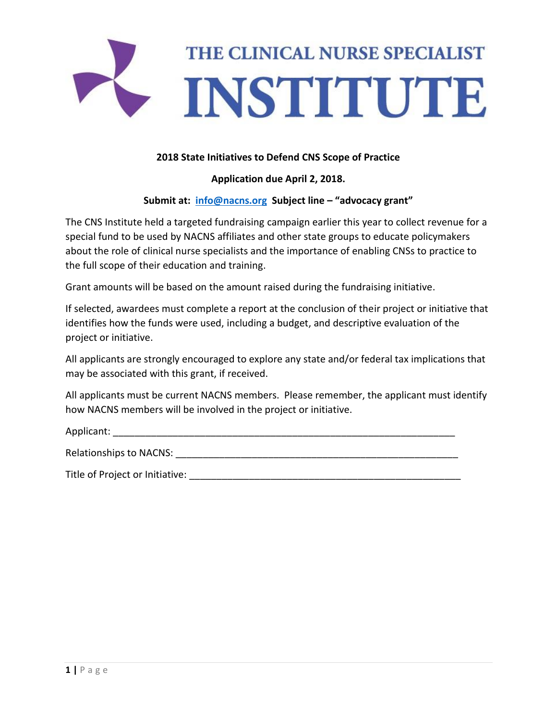

## **2018 State Initiatives to Defend CNS Scope of Practice**

## **Application due April 2, 2018.**

## **Submit at: [info@nacns.org](mailto:info@nacns.org) Subject line – "advocacy grant"**

The CNS Institute held a targeted fundraising campaign earlier this year to collect revenue for a special fund to be used by NACNS affiliates and other state groups to educate policymakers about the role of clinical nurse specialists and the importance of enabling CNSs to practice to the full scope of their education and training.

Grant amounts will be based on the amount raised during the fundraising initiative.

If selected, awardees must complete a report at the conclusion of their project or initiative that identifies how the funds were used, including a budget, and descriptive evaluation of the project or initiative.

All applicants are strongly encouraged to explore any state and/or federal tax implications that may be associated with this grant, if received.

All applicants must be current NACNS members. Please remember, the applicant must identify how NACNS members will be involved in the project or initiative.

Applicant:

Relationships to NACNS:  $\blacksquare$ 

Title of Project or Initiative: **Example 2018**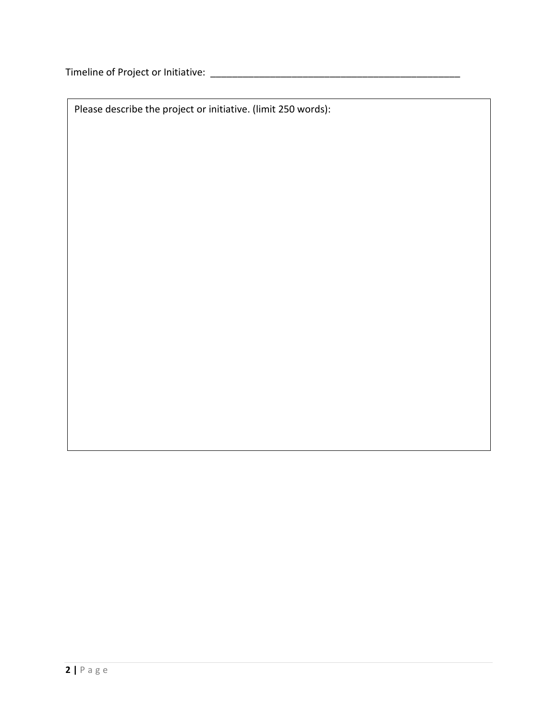Timeline of Project or Initiative: \_\_\_\_\_\_\_\_\_\_\_\_\_\_\_\_\_\_\_\_\_\_\_\_\_\_\_\_\_\_\_\_\_\_\_\_\_\_\_\_\_\_\_\_\_\_

Please describe the project or initiative. (limit 250 words):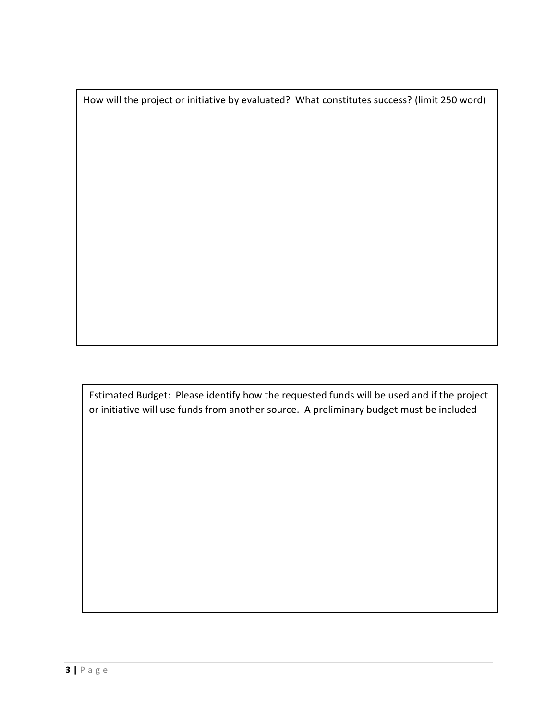How will the project or initiative by evaluated? What constitutes success? (limit 250 word)

Estimated Budget: Please identify how the requested funds will be used and if the project or initiative will use funds from another source. A preliminary budget must be included